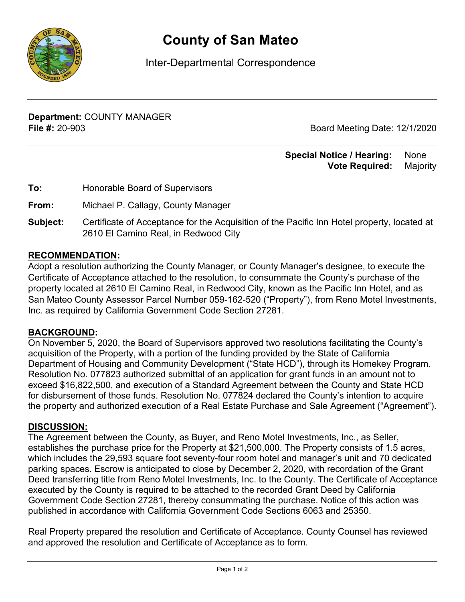

# **County of San Mateo**

Inter-Departmental Correspondence

**Department:** COUNTY MANAGER **File #:** 20-903 Board Meeting Date: 12/1/2020

### **Special Notice / Hearing:** None\_\_  **Vote Required:** Majority

| Honorable Board of Supervisors |
|--------------------------------|
|                                |

**From:** Michael P. Callagy, County Manager

**Subject:** Certificate of Acceptance for the Acquisition of the Pacific Inn Hotel property, located at 2610 El Camino Real, in Redwood City

## **RECOMMENDATION:**

Adopt a resolution authorizing the County Manager, or County Manager's designee, to execute the Certificate of Acceptance attached to the resolution, to consummate the County's purchase of the property located at 2610 El Camino Real, in Redwood City, known as the Pacific Inn Hotel, and as San Mateo County Assessor Parcel Number 059-162-520 ("Property"), from Reno Motel Investments, Inc. as required by California Government Code Section 27281.

#### **BACKGROUND:**

On November 5, 2020, the Board of Supervisors approved two resolutions facilitating the County's acquisition of the Property, with a portion of the funding provided by the State of California Department of Housing and Community Development ("State HCD"), through its Homekey Program. Resolution No. 077823 authorized submittal of an application for grant funds in an amount not to exceed \$16,822,500, and execution of a Standard Agreement between the County and State HCD for disbursement of those funds. Resolution No. 077824 declared the County's intention to acquire the property and authorized execution of a Real Estate Purchase and Sale Agreement ("Agreement").

#### **DISCUSSION:**

The Agreement between the County, as Buyer, and Reno Motel Investments, Inc., as Seller, establishes the purchase price for the Property at \$21,500,000. The Property consists of 1.5 acres, which includes the 29,593 square foot seventy-four room hotel and manager's unit and 70 dedicated parking spaces. Escrow is anticipated to close by December 2, 2020, with recordation of the Grant Deed transferring title from Reno Motel Investments, Inc. to the County. The Certificate of Acceptance executed by the County is required to be attached to the recorded Grant Deed by California Government Code Section 27281, thereby consummating the purchase. Notice of this action was published in accordance with California Government Code Sections 6063 and 25350.

Real Property prepared the resolution and Certificate of Acceptance. County Counsel has reviewed and approved the resolution and Certificate of Acceptance as to form.